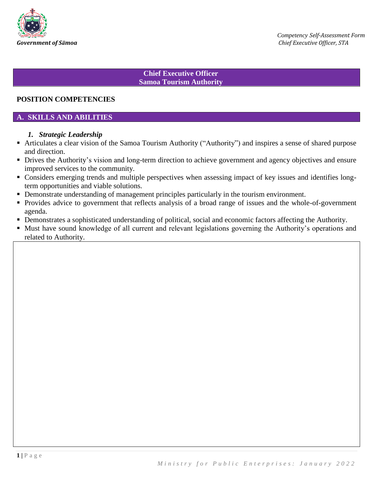

### **Chief Executive Officer Samoa Tourism Authority**

### **POSITION COMPETENCIES**

### **A. SKILLS AND ABILITIES**

#### *1. Strategic Leadership*

- Articulates a clear vision of the Samoa Tourism Authority ("Authority") and inspires a sense of shared purpose and direction.
- Drives the Authority's vision and long-term direction to achieve government and agency objectives and ensure improved services to the community.
- Considers emerging trends and multiple perspectives when assessing impact of key issues and identifies longterm opportunities and viable solutions.
- Demonstrate understanding of management principles particularly in the tourism environment.
- Provides advice to government that reflects analysis of a broad range of issues and the whole-of-government agenda.
- Demonstrates a sophisticated understanding of political, social and economic factors affecting the Authority.
- Must have sound knowledge of all current and relevant legislations governing the Authority's operations and related to Authority.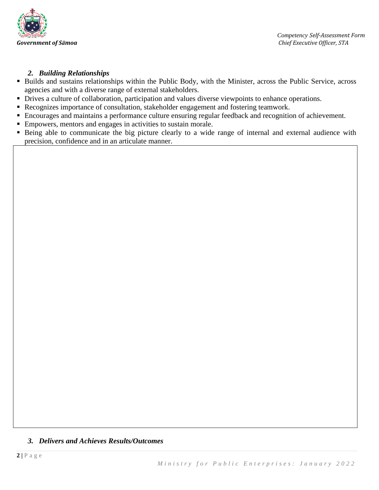

## *2. Building Relationships*

- Builds and sustains relationships within the Public Body, with the Minister, across the Public Service, across agencies and with a diverse range of external stakeholders.
- Drives a culture of collaboration, participation and values diverse viewpoints to enhance operations.
- Recognizes importance of consultation, stakeholder engagement and fostering teamwork.
- Encourages and maintains a performance culture ensuring regular feedback and recognition of achievement.
- Empowers, mentors and engages in activities to sustain morale.
- Being able to communicate the big picture clearly to a wide range of internal and external audience with precision, confidence and in an articulate manner.

## *3. Delivers and Achieves Results/Outcomes*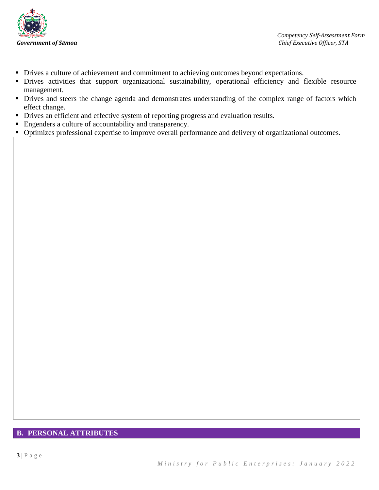

- Drives a culture of achievement and commitment to achieving outcomes beyond expectations.
- Drives activities that support organizational sustainability, operational efficiency and flexible resource management.
- Drives and steers the change agenda and demonstrates understanding of the complex range of factors which effect change.
- Drives an efficient and effective system of reporting progress and evaluation results.
- Engenders a culture of accountability and transparency.
- Optimizes professional expertise to improve overall performance and delivery of organizational outcomes.

# **B. PERSONAL ATTRIBUTES**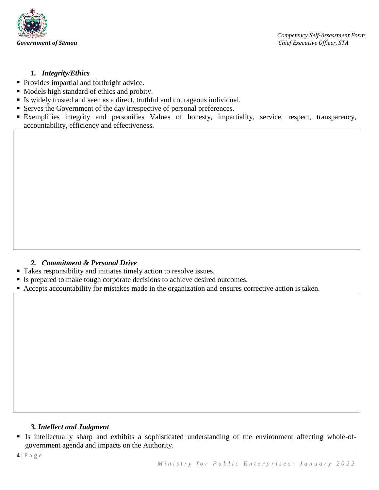

## *1. Integrity/Ethics*

- **Provides impartial and forthright advice.**
- Models high standard of ethics and probity.
- Is widely trusted and seen as a direct, truthful and courageous individual.
- Serves the Government of the day irrespective of personal preferences.
- Exemplifies integrity and personifies Values of honesty, impartiality, service, respect, transparency, accountability, efficiency and effectiveness.

## *2. Commitment & Personal Drive*

- Takes responsibility and initiates timely action to resolve issues.
- If Is prepared to make tough corporate decisions to achieve desired outcomes.
- Accepts accountability for mistakes made in the organization and ensures corrective action is taken.

### *3. Intellect and Judgment*

 Is intellectually sharp and exhibits a sophisticated understanding of the environment affecting whole-ofgovernment agenda and impacts on the Authority.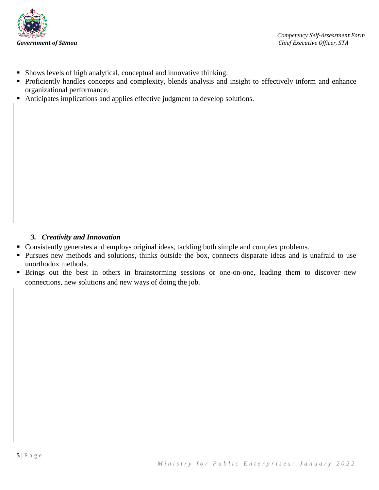

- Shows levels of high analytical, conceptual and innovative thinking.
- Proficiently handles concepts and complexity, blends analysis and insight to effectively inform and enhance organizational performance.
- Anticipates implications and applies effective judgment to develop solutions.

## *3. Creativity and Innovation*

- Consistently generates and employs original ideas, tackling both simple and complex problems.
- Pursues new methods and solutions, thinks outside the box, connects disparate ideas and is unafraid to use unorthodox methods.
- **Brings out the best in others in brainstorming sessions or one-on-one, leading them to discover new** connections, new solutions and new ways of doing the job.